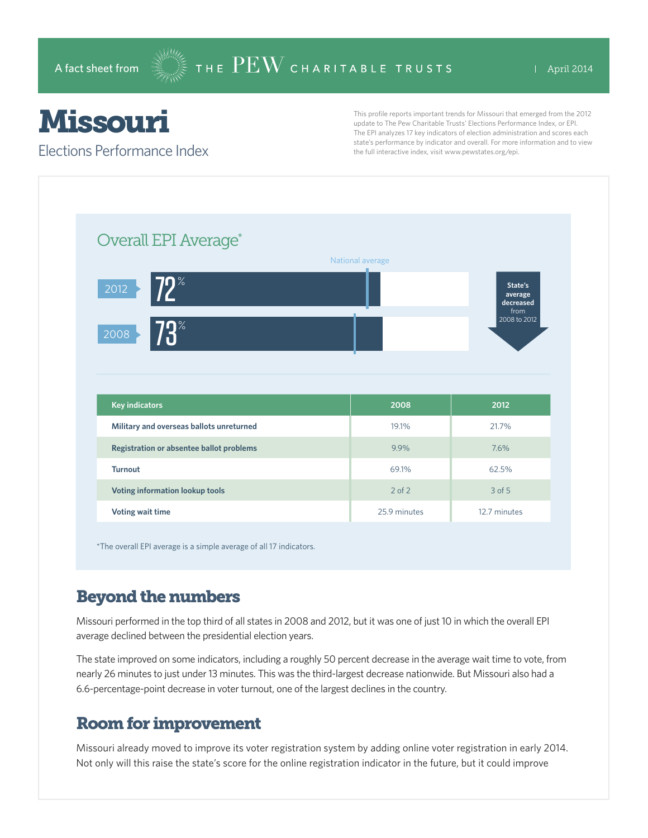## Missouri

Elections Performance Index

This profile reports important trends for Missouri that emerged from the 2012 update to The Pew Charitable Trusts' Elections Performance Index, or EPI. The EPI analyzes 17 key indicators of election administration and scores each state's performance by indicator and overall. For more information and to view the full interactive index, visit www.pewstates.org/epi.

| Overall EPI Average*                     |                  |                                         |
|------------------------------------------|------------------|-----------------------------------------|
|                                          | National average |                                         |
| $72^{\circ}$<br>2012                     |                  | State's<br>average<br>decreased<br>from |
| $73^\circ$<br>2008                       |                  | 2008 to 2012                            |
|                                          |                  |                                         |
|                                          |                  |                                         |
| <b>Key indicators</b>                    | 2008             | 2012                                    |
| Military and overseas ballots unreturned | 19.1%            | 21.7%                                   |
| Registration or absentee ballot problems | 9.9%             | 7.6%                                    |
| <b>Turnout</b>                           | 69.1%            | 62.5%                                   |
| Voting information lookup tools          | $2$ of $2$       | 3 of 5                                  |

\*The overall EPI average is a simple average of all 17 indicators.

## Beyond the numbers

Missouri performed in the top third of all states in 2008 and 2012, but it was one of just 10 in which the overall EPI average declined between the presidential election years.

The state improved on some indicators, including a roughly 50 percent decrease in the average wait time to vote, from nearly 26 minutes to just under 13 minutes. This was the third-largest decrease nationwide. But Missouri also had a 6.6-percentage-point decrease in voter turnout, one of the largest declines in the country.

## Room for improvement

Missouri already moved to improve its voter registration system by adding online voter registration in early 2014. Not only will this raise the state's score for the online registration indicator in the future, but it could improve